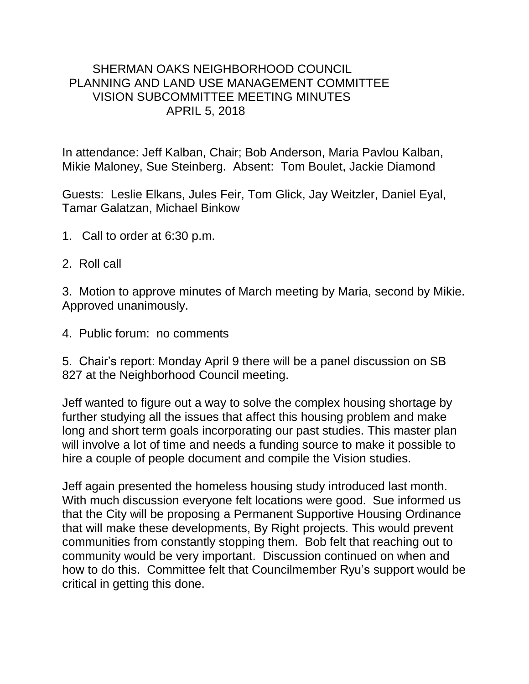## SHERMAN OAKS NEIGHBORHOOD COUNCIL PLANNING AND LAND USE MANAGEMENT COMMITTEE VISION SUBCOMMITTEE MEETING MINUTES APRIL 5, 2018

In attendance: Jeff Kalban, Chair; Bob Anderson, Maria Pavlou Kalban, Mikie Maloney, Sue Steinberg. Absent: Tom Boulet, Jackie Diamond

Guests: Leslie Elkans, Jules Feir, Tom Glick, Jay Weitzler, Daniel Eyal, Tamar Galatzan, Michael Binkow

- 1. Call to order at 6:30 p.m.
- 2. Roll call

3. Motion to approve minutes of March meeting by Maria, second by Mikie. Approved unanimously.

4. Public forum: no comments

5. Chair's report: Monday April 9 there will be a panel discussion on SB 827 at the Neighborhood Council meeting.

Jeff wanted to figure out a way to solve the complex housing shortage by further studying all the issues that affect this housing problem and make long and short term goals incorporating our past studies. This master plan will involve a lot of time and needs a funding source to make it possible to hire a couple of people document and compile the Vision studies.

Jeff again presented the homeless housing study introduced last month. With much discussion everyone felt locations were good. Sue informed us that the City will be proposing a Permanent Supportive Housing Ordinance that will make these developments, By Right projects. This would prevent communities from constantly stopping them. Bob felt that reaching out to community would be very important. Discussion continued on when and how to do this. Committee felt that Councilmember Ryu's support would be critical in getting this done.